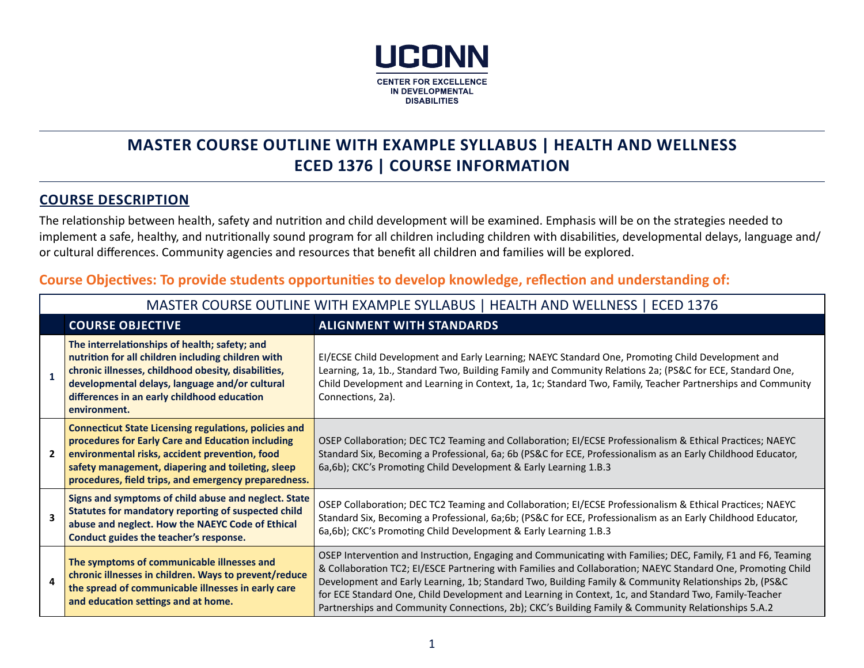

# **MASTER COURSE OUTLINE WITH EXAMPLE SYLLABUS | HEALTH AND WELLNESS ECED 1376 | COURSE INFORMATION**

#### **COURSE DESCRIPTION**

The relationship between health, safety and nutrition and child development will be examined. Emphasis will be on the strategies needed to implement a safe, healthy, and nutritionally sound program for all children including children with disabilities, developmental delays, language and/ or cultural differences. Community agencies and resources that benefit all children and families will be explored.

#### **Course Objectives: To provide students opportunities to develop knowledge, reflection and understanding of:**

|                | MASTER COURSE OUTLINE WITH EXAMPLE SYLLABUS   HEALTH AND WELLNESS   ECED 1376                                                                                                                                                                                                    |                                                                                                                                                                                                                                                                                                                                                                                                                                                                                                                                                      |  |  |
|----------------|----------------------------------------------------------------------------------------------------------------------------------------------------------------------------------------------------------------------------------------------------------------------------------|------------------------------------------------------------------------------------------------------------------------------------------------------------------------------------------------------------------------------------------------------------------------------------------------------------------------------------------------------------------------------------------------------------------------------------------------------------------------------------------------------------------------------------------------------|--|--|
|                | <b>COURSE OBJECTIVE</b>                                                                                                                                                                                                                                                          | <b>ALIGNMENT WITH STANDARDS</b>                                                                                                                                                                                                                                                                                                                                                                                                                                                                                                                      |  |  |
| 1              | The interrelationships of health; safety; and<br>nutrition for all children including children with<br>chronic illnesses, childhood obesity, disabilities,<br>developmental delays, language and/or cultural<br>differences in an early childhood education<br>environment.      | EI/ECSE Child Development and Early Learning; NAEYC Standard One, Promoting Child Development and<br>Learning, 1a, 1b., Standard Two, Building Family and Community Relations 2a; (PS&C for ECE, Standard One,<br>Child Development and Learning in Context, 1a, 1c; Standard Two, Family, Teacher Partnerships and Community<br>Connections, 2a).                                                                                                                                                                                                   |  |  |
| $\overline{2}$ | <b>Connecticut State Licensing regulations, policies and</b><br>procedures for Early Care and Education including<br>environmental risks, accident prevention, food<br>safety management, diapering and toileting, sleep<br>procedures, field trips, and emergency preparedness. | OSEP Collaboration; DEC TC2 Teaming and Collaboration; EI/ECSE Professionalism & Ethical Practices; NAEYC<br>Standard Six, Becoming a Professional, 6a; 6b (PS&C for ECE, Professionalism as an Early Childhood Educator,<br>6a,6b); CKC's Promoting Child Development & Early Learning 1.B.3                                                                                                                                                                                                                                                        |  |  |
| 3              | Signs and symptoms of child abuse and neglect. State<br>Statutes for mandatory reporting of suspected child<br>abuse and neglect. How the NAEYC Code of Ethical<br>Conduct guides the teacher's response.                                                                        | OSEP Collaboration; DEC TC2 Teaming and Collaboration; EI/ECSE Professionalism & Ethical Practices; NAEYC<br>Standard Six, Becoming a Professional, 6a;6b; (PS&C for ECE, Professionalism as an Early Childhood Educator,<br>6a,6b); CKC's Promoting Child Development & Early Learning 1.B.3                                                                                                                                                                                                                                                        |  |  |
| 4              | The symptoms of communicable illnesses and<br>chronic illnesses in children. Ways to prevent/reduce<br>the spread of communicable illnesses in early care<br>and education settings and at home.                                                                                 | OSEP Intervention and Instruction, Engaging and Communicating with Families; DEC, Family, F1 and F6, Teaming<br>& Collaboration TC2; El/ESCE Partnering with Families and Collaboration; NAEYC Standard One, Promoting Child<br>Development and Early Learning, 1b; Standard Two, Building Family & Community Relationships 2b, (PS&C<br>for ECE Standard One, Child Development and Learning in Context, 1c, and Standard Two, Family-Teacher<br>Partnerships and Community Connections, 2b); CKC's Building Family & Community Relationships 5.A.2 |  |  |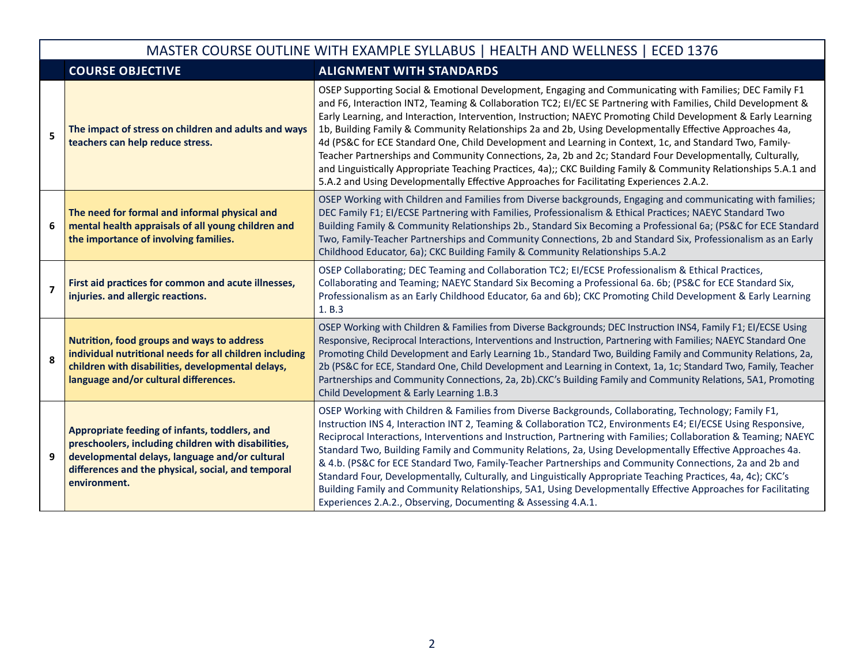|                | MASTER COURSE OUTLINE WITH EXAMPLE SYLLABUS   HEALTH AND WELLNESS   ECED 1376                                                                                                                                                |                                                                                                                                                                                                                                                                                                                                                                                                                                                                                                                                                                                                                                                                                                                                                                                                                                                                                               |  |  |  |
|----------------|------------------------------------------------------------------------------------------------------------------------------------------------------------------------------------------------------------------------------|-----------------------------------------------------------------------------------------------------------------------------------------------------------------------------------------------------------------------------------------------------------------------------------------------------------------------------------------------------------------------------------------------------------------------------------------------------------------------------------------------------------------------------------------------------------------------------------------------------------------------------------------------------------------------------------------------------------------------------------------------------------------------------------------------------------------------------------------------------------------------------------------------|--|--|--|
|                | <b>COURSE OBJECTIVE</b>                                                                                                                                                                                                      | <b>ALIGNMENT WITH STANDARDS</b>                                                                                                                                                                                                                                                                                                                                                                                                                                                                                                                                                                                                                                                                                                                                                                                                                                                               |  |  |  |
| 5              | The impact of stress on children and adults and ways<br>teachers can help reduce stress.                                                                                                                                     | OSEP Supporting Social & Emotional Development, Engaging and Communicating with Families; DEC Family F1<br>and F6, Interaction INT2, Teaming & Collaboration TC2; EI/EC SE Partnering with Families, Child Development &<br>Early Learning, and Interaction, Intervention, Instruction; NAEYC Promoting Child Development & Early Learning<br>1b, Building Family & Community Relationships 2a and 2b, Using Developmentally Effective Approaches 4a,<br>4d (PS&C for ECE Standard One, Child Development and Learning in Context, 1c, and Standard Two, Family-<br>Teacher Partnerships and Community Connections, 2a, 2b and 2c; Standard Four Developmentally, Culturally,<br>and Linguistically Appropriate Teaching Practices, 4a);; CKC Building Family & Community Relationships 5.A.1 and<br>5.A.2 and Using Developmentally Effective Approaches for Facilitating Experiences 2.A.2. |  |  |  |
| 6              | The need for formal and informal physical and<br>mental health appraisals of all young children and<br>the importance of involving families.                                                                                 | OSEP Working with Children and Families from Diverse backgrounds, Engaging and communicating with families;<br>DEC Family F1; El/ECSE Partnering with Families, Professionalism & Ethical Practices; NAEYC Standard Two<br>Building Family & Community Relationships 2b., Standard Six Becoming a Professional 6a; (PS&C for ECE Standard<br>Two, Family-Teacher Partnerships and Community Connections, 2b and Standard Six, Professionalism as an Early<br>Childhood Educator, 6a); CKC Building Family & Community Relationships 5.A.2                                                                                                                                                                                                                                                                                                                                                     |  |  |  |
| $\overline{7}$ | First aid practices for common and acute illnesses,<br>injuries. and allergic reactions.                                                                                                                                     | OSEP Collaborating; DEC Teaming and Collaboration TC2; EI/ECSE Professionalism & Ethical Practices,<br>Collaborating and Teaming; NAEYC Standard Six Becoming a Professional 6a. 6b; (PS&C for ECE Standard Six,<br>Professionalism as an Early Childhood Educator, 6a and 6b); CKC Promoting Child Development & Early Learning<br>1. B.3                                                                                                                                                                                                                                                                                                                                                                                                                                                                                                                                                    |  |  |  |
| 8              | Nutrition, food groups and ways to address<br>individual nutritional needs for all children including<br>children with disabilities, developmental delays,<br>language and/or cultural differences.                          | OSEP Working with Children & Families from Diverse Backgrounds; DEC Instruction INS4, Family F1; EI/ECSE Using<br>Responsive, Reciprocal Interactions, Interventions and Instruction, Partnering with Families; NAEYC Standard One<br>Promoting Child Development and Early Learning 1b., Standard Two, Building Family and Community Relations, 2a,<br>2b (PS&C for ECE, Standard One, Child Development and Learning in Context, 1a, 1c; Standard Two, Family, Teacher<br>Partnerships and Community Connections, 2a, 2b).CKC's Building Family and Community Relations, 5A1, Promoting<br>Child Development & Early Learning 1.B.3                                                                                                                                                                                                                                                         |  |  |  |
| 9              | Appropriate feeding of infants, toddlers, and<br>preschoolers, including children with disabilities,<br>developmental delays, language and/or cultural<br>differences and the physical, social, and temporal<br>environment. | OSEP Working with Children & Families from Diverse Backgrounds, Collaborating, Technology; Family F1,<br>Instruction INS 4, Interaction INT 2, Teaming & Collaboration TC2, Environments E4; EI/ECSE Using Responsive,<br>Reciprocal Interactions, Interventions and Instruction, Partnering with Families; Collaboration & Teaming; NAEYC<br>Standard Two, Building Family and Community Relations, 2a, Using Developmentally Effective Approaches 4a.<br>& 4.b. (PS&C for ECE Standard Two, Family-Teacher Partnerships and Community Connections, 2a and 2b and<br>Standard Four, Developmentally, Culturally, and Linguistically Appropriate Teaching Practices, 4a, 4c); CKC's<br>Building Family and Community Relationships, 5A1, Using Developmentally Effective Approaches for Facilitating<br>Experiences 2.A.2., Observing, Documenting & Assessing 4.A.1.                         |  |  |  |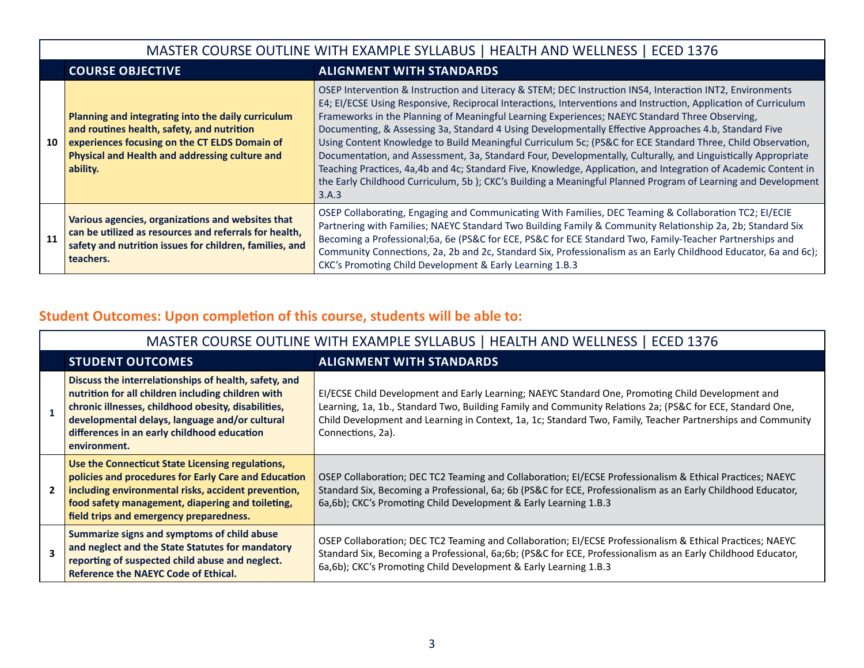|    | MASTER COURSE OUTLINE WITH EXAMPLE SYLLABUS   HEALTH AND WELLNESS   ECED 1376                                                                                                                                   |                                                                                                                                                                                                                                                                                                                                                                                                                                                                                                                                                                                                                                                                                                                                                                                                                                                                                                                     |  |  |
|----|-----------------------------------------------------------------------------------------------------------------------------------------------------------------------------------------------------------------|---------------------------------------------------------------------------------------------------------------------------------------------------------------------------------------------------------------------------------------------------------------------------------------------------------------------------------------------------------------------------------------------------------------------------------------------------------------------------------------------------------------------------------------------------------------------------------------------------------------------------------------------------------------------------------------------------------------------------------------------------------------------------------------------------------------------------------------------------------------------------------------------------------------------|--|--|
|    | <b>COURSE OBJECTIVE</b><br><b>ALIGNMENT WITH STANDARDS</b>                                                                                                                                                      |                                                                                                                                                                                                                                                                                                                                                                                                                                                                                                                                                                                                                                                                                                                                                                                                                                                                                                                     |  |  |
| 10 | Planning and integrating into the daily curriculum<br>and routines health, safety, and nutrition<br>experiences focusing on the CT ELDS Domain of<br>Physical and Health and addressing culture and<br>ability. | OSEP Intervention & Instruction and Literacy & STEM; DEC Instruction INS4, Interaction INT2, Environments<br>E4; EI/ECSE Using Responsive, Reciprocal Interactions, Interventions and Instruction, Application of Curriculum<br>Frameworks in the Planning of Meaningful Learning Experiences; NAEYC Standard Three Observing,<br>Documenting, & Assessing 3a, Standard 4 Using Developmentally Effective Approaches 4.b, Standard Five<br>Using Content Knowledge to Build Meaningful Curriculum 5c; (PS&C for ECE Standard Three, Child Observation,<br>Documentation, and Assessment, 3a, Standard Four, Developmentally, Culturally, and Linguistically Appropriate<br>Teaching Practices, 4a,4b and 4c; Standard Five, Knowledge, Application, and Integration of Academic Content in<br>the Early Childhood Curriculum, 5b); CKC's Building a Meaningful Planned Program of Learning and Development<br>3.A.3 |  |  |
| 11 | Various agencies, organizations and websites that<br>can be utilized as resources and referrals for health,<br>safety and nutrition issues for children, families, and<br>teachers.                             | OSEP Collaborating, Engaging and Communicating With Families, DEC Teaming & Collaboration TC2; EI/ECIE<br>Partnering with Families; NAEYC Standard Two Building Family & Community Relationship 2a, 2b; Standard Six<br>Becoming a Professional;6a, 6e (PS&C for ECE, PS&C for ECE Standard Two, Family-Teacher Partnerships and<br>Community Connections, 2a, 2b and 2c, Standard Six, Professionalism as an Early Childhood Educator, 6a and 6c);<br>CKC's Promoting Child Development & Early Learning 1.B.3                                                                                                                                                                                                                                                                                                                                                                                                     |  |  |

# **Student Outcomes: Upon completion of this course, students will be able to:**

|                                                            | MASTER COURSE OUTLINE WITH EXAMPLE SYLLABUS   HEALTH AND WELLNESS   ECED 1376                                                                                                                                                                                                       |                                                                                                                                                                                                                                                                                                                                                    |  |  |
|------------------------------------------------------------|-------------------------------------------------------------------------------------------------------------------------------------------------------------------------------------------------------------------------------------------------------------------------------------|----------------------------------------------------------------------------------------------------------------------------------------------------------------------------------------------------------------------------------------------------------------------------------------------------------------------------------------------------|--|--|
| <b>STUDENT OUTCOMES</b><br><b>ALIGNMENT WITH STANDARDS</b> |                                                                                                                                                                                                                                                                                     |                                                                                                                                                                                                                                                                                                                                                    |  |  |
|                                                            | Discuss the interrelationships of health, safety, and<br>nutrition for all children including children with<br>chronic illnesses, childhood obesity, disabilities,<br>developmental delays, language and/or cultural<br>differences in an early childhood education<br>environment. | EI/ECSE Child Development and Early Learning; NAEYC Standard One, Promoting Child Development and<br>Learning, 1a, 1b., Standard Two, Building Family and Community Relations 2a; (PS&C for ECE, Standard One,<br>Child Development and Learning in Context, 1a, 1c; Standard Two, Family, Teacher Partnerships and Community<br>Connections, 2a). |  |  |
|                                                            | Use the Connecticut State Licensing regulations,<br>policies and procedures for Early Care and Education<br>including environmental risks, accident prevention,<br>food safety management, diapering and toileting,<br>field trips and emergency preparedness.                      | OSEP Collaboration; DEC TC2 Teaming and Collaboration; EI/ECSE Professionalism & Ethical Practices; NAEYC<br>Standard Six, Becoming a Professional, 6a; 6b (PS&C for ECE, Professionalism as an Early Childhood Educator,<br>6a,6b); CKC's Promoting Child Development & Early Learning 1.B.3                                                      |  |  |
|                                                            | Summarize signs and symptoms of child abuse<br>and neglect and the State Statutes for mandatory<br>reporting of suspected child abuse and neglect.<br>Reference the NAEYC Code of Ethical.                                                                                          | OSEP Collaboration; DEC TC2 Teaming and Collaboration; EI/ECSE Professionalism & Ethical Practices; NAEYC<br>Standard Six, Becoming a Professional, 6a;6b; (PS&C for ECE, Professionalism as an Early Childhood Educator,<br>6a,6b); CKC's Promoting Child Development & Early Learning 1.B.3                                                      |  |  |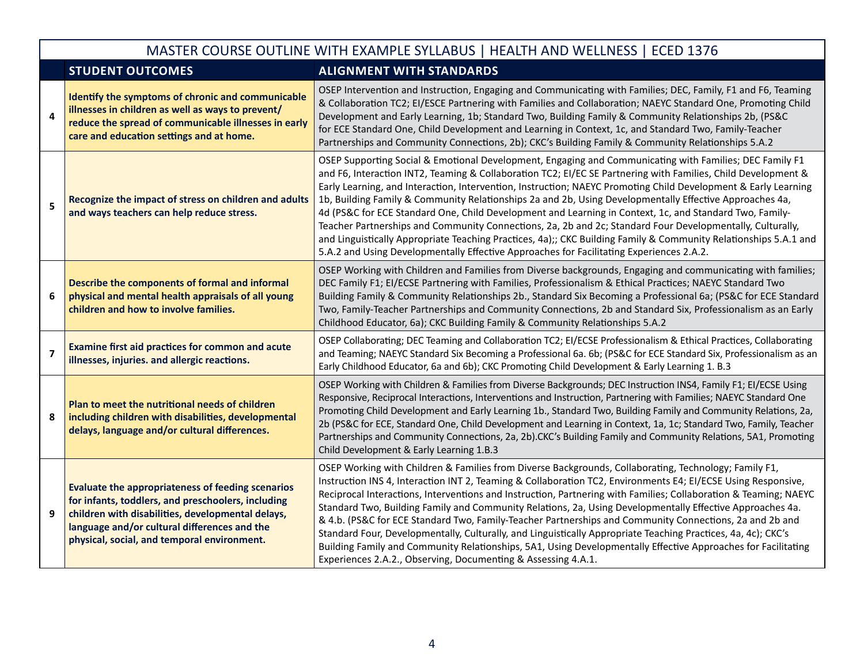|                | MASTER COURSE OUTLINE WITH EXAMPLE SYLLABUS   HEALTH AND WELLNESS   ECED 1376                                                                                                                                                                                      |                                                                                                                                                                                                                                                                                                                                                                                                                                                                                                                                                                                                                                                                                                                                                                                                                                                                                               |  |  |  |
|----------------|--------------------------------------------------------------------------------------------------------------------------------------------------------------------------------------------------------------------------------------------------------------------|-----------------------------------------------------------------------------------------------------------------------------------------------------------------------------------------------------------------------------------------------------------------------------------------------------------------------------------------------------------------------------------------------------------------------------------------------------------------------------------------------------------------------------------------------------------------------------------------------------------------------------------------------------------------------------------------------------------------------------------------------------------------------------------------------------------------------------------------------------------------------------------------------|--|--|--|
|                | <b>STUDENT OUTCOMES</b>                                                                                                                                                                                                                                            | <b>ALIGNMENT WITH STANDARDS</b>                                                                                                                                                                                                                                                                                                                                                                                                                                                                                                                                                                                                                                                                                                                                                                                                                                                               |  |  |  |
| 4              | Identify the symptoms of chronic and communicable<br>illnesses in children as well as ways to prevent/<br>reduce the spread of communicable illnesses in early<br>care and education settings and at home.                                                         | OSEP Intervention and Instruction, Engaging and Communicating with Families; DEC, Family, F1 and F6, Teaming<br>& Collaboration TC2; EI/ESCE Partnering with Families and Collaboration; NAEYC Standard One, Promoting Child<br>Development and Early Learning, 1b; Standard Two, Building Family & Community Relationships 2b, (PS&C<br>for ECE Standard One, Child Development and Learning in Context, 1c, and Standard Two, Family-Teacher<br>Partnerships and Community Connections, 2b); CKC's Building Family & Community Relationships 5.A.2                                                                                                                                                                                                                                                                                                                                          |  |  |  |
| 5              | Recognize the impact of stress on children and adults<br>and ways teachers can help reduce stress.                                                                                                                                                                 | OSEP Supporting Social & Emotional Development, Engaging and Communicating with Families; DEC Family F1<br>and F6, Interaction INT2, Teaming & Collaboration TC2; EI/EC SE Partnering with Families, Child Development &<br>Early Learning, and Interaction, Intervention, Instruction; NAEYC Promoting Child Development & Early Learning<br>1b, Building Family & Community Relationships 2a and 2b, Using Developmentally Effective Approaches 4a,<br>4d (PS&C for ECE Standard One, Child Development and Learning in Context, 1c, and Standard Two, Family-<br>Teacher Partnerships and Community Connections, 2a, 2b and 2c; Standard Four Developmentally, Culturally,<br>and Linguistically Appropriate Teaching Practices, 4a);; CKC Building Family & Community Relationships 5.A.1 and<br>5.A.2 and Using Developmentally Effective Approaches for Facilitating Experiences 2.A.2. |  |  |  |
| 6              | Describe the components of formal and informal<br>physical and mental health appraisals of all young<br>children and how to involve families.                                                                                                                      | OSEP Working with Children and Families from Diverse backgrounds, Engaging and communicating with families;<br>DEC Family F1; El/ECSE Partnering with Families, Professionalism & Ethical Practices; NAEYC Standard Two<br>Building Family & Community Relationships 2b., Standard Six Becoming a Professional 6a; (PS&C for ECE Standard<br>Two, Family-Teacher Partnerships and Community Connections, 2b and Standard Six, Professionalism as an Early<br>Childhood Educator, 6a); CKC Building Family & Community Relationships 5.A.2                                                                                                                                                                                                                                                                                                                                                     |  |  |  |
| $\overline{7}$ | <b>Examine first aid practices for common and acute</b><br>illnesses, injuries. and allergic reactions.                                                                                                                                                            | OSEP Collaborating; DEC Teaming and Collaboration TC2; El/ECSE Professionalism & Ethical Practices, Collaborating<br>and Teaming; NAEYC Standard Six Becoming a Professional 6a. 6b; (PS&C for ECE Standard Six, Professionalism as an<br>Early Childhood Educator, 6a and 6b); CKC Promoting Child Development & Early Learning 1. B.3                                                                                                                                                                                                                                                                                                                                                                                                                                                                                                                                                       |  |  |  |
| 8              | Plan to meet the nutritional needs of children<br>including children with disabilities, developmental<br>delays, language and/or cultural differences.                                                                                                             | OSEP Working with Children & Families from Diverse Backgrounds; DEC Instruction INS4, Family F1; EI/ECSE Using<br>Responsive, Reciprocal Interactions, Interventions and Instruction, Partnering with Families; NAEYC Standard One<br>Promoting Child Development and Early Learning 1b., Standard Two, Building Family and Community Relations, 2a,<br>2b (PS&C for ECE, Standard One, Child Development and Learning in Context, 1a, 1c; Standard Two, Family, Teacher<br>Partnerships and Community Connections, 2a, 2b).CKC's Building Family and Community Relations, 5A1, Promoting<br>Child Development & Early Learning 1.B.3                                                                                                                                                                                                                                                         |  |  |  |
| 9              | <b>Evaluate the appropriateness of feeding scenarios</b><br>for infants, toddlers, and preschoolers, including<br>children with disabilities, developmental delays,<br>language and/or cultural differences and the<br>physical, social, and temporal environment. | OSEP Working with Children & Families from Diverse Backgrounds, Collaborating, Technology; Family F1,<br>Instruction INS 4, Interaction INT 2, Teaming & Collaboration TC2, Environments E4; EI/ECSE Using Responsive,<br>Reciprocal Interactions, Interventions and Instruction, Partnering with Families; Collaboration & Teaming; NAEYC<br>Standard Two, Building Family and Community Relations, 2a, Using Developmentally Effective Approaches 4a.<br>& 4.b. (PS&C for ECE Standard Two, Family-Teacher Partnerships and Community Connections, 2a and 2b and<br>Standard Four, Developmentally, Culturally, and Linguistically Appropriate Teaching Practices, 4a, 4c); CKC's<br>Building Family and Community Relationships, 5A1, Using Developmentally Effective Approaches for Facilitating<br>Experiences 2.A.2., Observing, Documenting & Assessing 4.A.1.                         |  |  |  |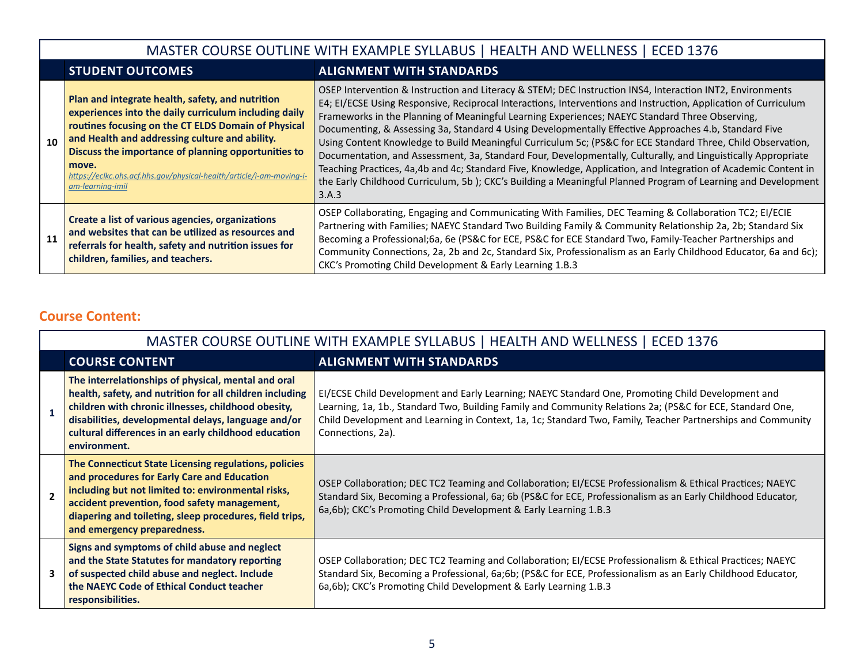## MASTER COURSE OUTLINE WITH EXAMPLE SYLLABUS | HEALTH AND WELLNESS | ECED 1376

## **STUDENT OUTCOMES ALIGNMENT WITH STANDARDS**

| 10 | Plan and integrate health, safety, and nutrition<br>experiences into the daily curriculum including daily<br>routines focusing on the CT ELDS Domain of Physical<br>and Health and addressing culture and ability.<br>Discuss the importance of planning opportunities to<br>move.<br>https://eclkc.ohs.acf.hhs.gov/physical-health/article/i-am-moving-i-<br>am-learning-imil | OSEP Intervention & Instruction and Literacy & STEM; DEC Instruction INS4, Interaction INT2, Environments<br>E4; EI/ECSE Using Responsive, Reciprocal Interactions, Interventions and Instruction, Application of Curriculum<br>Frameworks in the Planning of Meaningful Learning Experiences; NAEYC Standard Three Observing,<br>Documenting, & Assessing 3a, Standard 4 Using Developmentally Effective Approaches 4.b, Standard Five<br>Using Content Knowledge to Build Meaningful Curriculum 5c; (PS&C for ECE Standard Three, Child Observation,<br>Documentation, and Assessment, 3a, Standard Four, Developmentally, Culturally, and Linguistically Appropriate<br>Teaching Practices, 4a,4b and 4c; Standard Five, Knowledge, Application, and Integration of Academic Content in<br>the Early Childhood Curriculum, 5b); CKC's Building a Meaningful Planned Program of Learning and Development<br>3.A.3 |
|----|--------------------------------------------------------------------------------------------------------------------------------------------------------------------------------------------------------------------------------------------------------------------------------------------------------------------------------------------------------------------------------|---------------------------------------------------------------------------------------------------------------------------------------------------------------------------------------------------------------------------------------------------------------------------------------------------------------------------------------------------------------------------------------------------------------------------------------------------------------------------------------------------------------------------------------------------------------------------------------------------------------------------------------------------------------------------------------------------------------------------------------------------------------------------------------------------------------------------------------------------------------------------------------------------------------------|
| 11 | Create a list of various agencies, organizations<br>and websites that can be utilized as resources and<br>referrals for health, safety and nutrition issues for<br>children, families, and teachers.                                                                                                                                                                           | OSEP Collaborating, Engaging and Communicating With Families, DEC Teaming & Collaboration TC2; EI/ECIE<br>Partnering with Families; NAEYC Standard Two Building Family & Community Relationship 2a, 2b; Standard Six<br>Becoming a Professional;6a, 6e (PS&C for ECE, PS&C for ECE Standard Two, Family-Teacher Partnerships and<br>Community Connections, 2a, 2b and 2c, Standard Six, Professionalism as an Early Childhood Educator, 6a and 6c);<br>CKC's Promoting Child Development & Early Learning 1.B.3                                                                                                                                                                                                                                                                                                                                                                                                     |

#### **Course Content:**

|                          | MASTER COURSE OUTLINE WITH EXAMPLE SYLLABUS   HEALTH AND WELLNESS   ECED 1376                                                                                                                                                                                                                         |                                                                                                                                                                                                                                                                                                                                                    |  |  |
|--------------------------|-------------------------------------------------------------------------------------------------------------------------------------------------------------------------------------------------------------------------------------------------------------------------------------------------------|----------------------------------------------------------------------------------------------------------------------------------------------------------------------------------------------------------------------------------------------------------------------------------------------------------------------------------------------------|--|--|
|                          | <b>COURSE CONTENT</b>                                                                                                                                                                                                                                                                                 | <b>ALIGNMENT WITH STANDARDS</b>                                                                                                                                                                                                                                                                                                                    |  |  |
| $\overline{1}$           | The interrelationships of physical, mental and oral<br>health, safety, and nutrition for all children including<br>children with chronic illnesses, childhood obesity,<br>disabilities, developmental delays, language and/or<br>cultural differences in an early childhood education<br>environment. | EI/ECSE Child Development and Early Learning; NAEYC Standard One, Promoting Child Development and<br>Learning, 1a, 1b., Standard Two, Building Family and Community Relations 2a; (PS&C for ECE, Standard One,<br>Child Development and Learning in Context, 1a, 1c; Standard Two, Family, Teacher Partnerships and Community<br>Connections, 2a). |  |  |
| $\overline{\phantom{a}}$ | The Connecticut State Licensing regulations, policies<br>and procedures for Early Care and Education<br>including but not limited to: environmental risks,<br>accident prevention, food safety management,<br>diapering and toileting, sleep procedures, field trips,<br>and emergency preparedness.  | OSEP Collaboration; DEC TC2 Teaming and Collaboration; EI/ECSE Professionalism & Ethical Practices; NAEYC<br>Standard Six, Becoming a Professional, 6a; 6b (PS&C for ECE, Professionalism as an Early Childhood Educator,<br>6a,6b); CKC's Promoting Child Development & Early Learning 1.B.3                                                      |  |  |
|                          | Signs and symptoms of child abuse and neglect<br>and the State Statutes for mandatory reporting<br>of suspected child abuse and neglect. Include<br>the NAEYC Code of Ethical Conduct teacher<br>responsibilities.                                                                                    | OSEP Collaboration; DEC TC2 Teaming and Collaboration; EI/ECSE Professionalism & Ethical Practices; NAEYC<br>Standard Six, Becoming a Professional, 6a;6b; (PS&C for ECE, Professionalism as an Early Childhood Educator,<br>6a,6b); CKC's Promoting Child Development & Early Learning 1.B.3                                                      |  |  |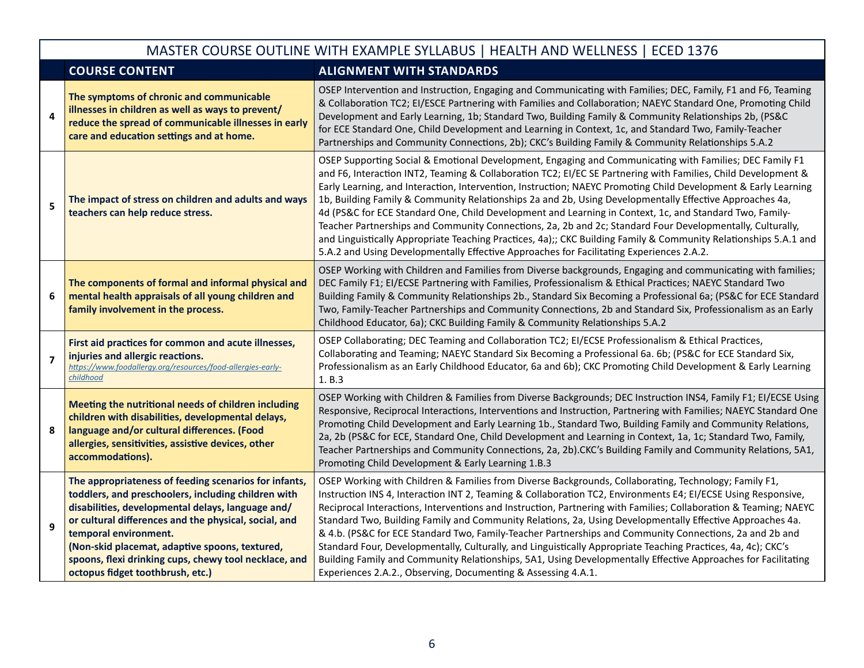#### MASTER COURSE OUTLINE WITH EXAMPLE SYLLABUS | HEALTH AND WELLNESS | ECED 1376 **COURSE CONTENT ALIGNMENT WITH STANDARDS 4 The symptoms of chronic and communicable illnesses in children as well as ways to prevent/ reduce the spread of communicable illnesses in early care and education settings and at home.** OSEP Intervention and Instruction, Engaging and Communicating with Families; DEC, Family, F1 and F6, Teaming & Collaboration TC2; EI/ESCE Partnering with Families and Collaboration; NAEYC Standard One, Promoting Child Development and Early Learning, 1b; Standard Two, Building Family & Community Relationships 2b, (PS&C for ECE Standard One, Child Development and Learning in Context, 1c, and Standard Two, Family-Teacher Partnerships and Community Connections, 2b); CKC's Building Family & Community Relationships 5.A.2 **<sup>5</sup> The impact of stress on children and adults and ways teachers can help reduce stress.** OSEP Supporting Social & Emotional Development, Engaging and Communicating with Families; DEC Family F1 and F6, Interaction INT2, Teaming & Collaboration TC2; EI/EC SE Partnering with Families, Child Development & Early Learning, and Interaction, Intervention, Instruction; NAEYC Promoting Child Development & Early Learning 1b, Building Family & Community Relationships 2a and 2b, Using Developmentally Effective Approaches 4a, 4d (PS&C for ECE Standard One, Child Development and Learning in Context, 1c, and Standard Two, Family-Teacher Partnerships and Community Connections, 2a, 2b and 2c; Standard Four Developmentally, Culturally, and Linguistically Appropriate Teaching Practices, 4a);; CKC Building Family & Community Relationships 5.A.1 and 5.A.2 and Using Developmentally Effective Approaches for Facilitating Experiences 2.A.2. **6 The components of formal and informal physical and mental health appraisals of all young children and family involvement in the process.** OSEP Working with Children and Families from Diverse backgrounds, Engaging and communicating with families; DEC Family F1; EI/ECSE Partnering with Families, Professionalism & Ethical Practices; NAEYC Standard Two Building Family & Community Relationships 2b., Standard Six Becoming a Professional 6a; (PS&C for ECE Standard Two, Family-Teacher Partnerships and Community Connections, 2b and Standard Six, Professionalism as an Early Childhood Educator, 6a); CKC Building Family & Community Relationships 5.A.2 **7 First aid practices for common and acute illnesses, injuries and allergic reactions.** *[https://www.foodallergy.org/resources/food-allergies-early](https://www.foodallergy.org/resources/food-allergies-early-childhood)[childhood](https://www.foodallergy.org/resources/food-allergies-early-childhood)* OSEP Collaborating; DEC Teaming and Collaboration TC2; EI/ECSE Professionalism & Ethical Practices, Collaborating and Teaming; NAEYC Standard Six Becoming a Professional 6a. 6b; (PS&C for ECE Standard Six, Professionalism as an Early Childhood Educator, 6a and 6b); CKC Promoting Child Development & Early Learning 1. B.3 **8 Meeting the nutritional needs of children including children with disabilities, developmental delays, language and/or cultural differences. (Food allergies, sensitivities, assistive devices, other accommodations).** OSEP Working with Children & Families from Diverse Backgrounds; DEC Instruction INS4, Family F1; EI/ECSE Using Responsive, Reciprocal Interactions, Interventions and Instruction, Partnering with Families; NAEYC Standard One Promoting Child Development and Early Learning 1b., Standard Two, Building Family and Community Relations, 2a, 2b (PS&C for ECE, Standard One, Child Development and Learning in Context, 1a, 1c; Standard Two, Family, Teacher Partnerships and Community Connections, 2a, 2b).CKC's Building Family and Community Relations, 5A1, Promoting Child Development & Early Learning 1.B.3 **9 The appropriateness of feeding scenarios for infants, toddlers, and preschoolers, including children with disabilities, developmental delays, language and/ or cultural differences and the physical, social, and temporal environment. (Non-skid placemat, adaptive spoons, textured, spoons, flexi drinking cups, chewy tool necklace, and octopus fidget toothbrush, etc.)** OSEP Working with Children & Families from Diverse Backgrounds, Collaborating, Technology; Family F1, Instruction INS 4, Interaction INT 2, Teaming & Collaboration TC2, Environments E4; EI/ECSE Using Responsive, Reciprocal Interactions, Interventions and Instruction, Partnering with Families; Collaboration & Teaming; NAEYC Standard Two, Building Family and Community Relations, 2a, Using Developmentally Effective Approaches 4a. & 4.b. (PS&C for ECE Standard Two, Family-Teacher Partnerships and Community Connections, 2a and 2b and Standard Four, Developmentally, Culturally, and Linguistically Appropriate Teaching Practices, 4a, 4c); CKC's Building Family and Community Relationships, 5A1, Using Developmentally Effective Approaches for Facilitating Experiences 2.A.2., Observing, Documenting & Assessing 4.A.1.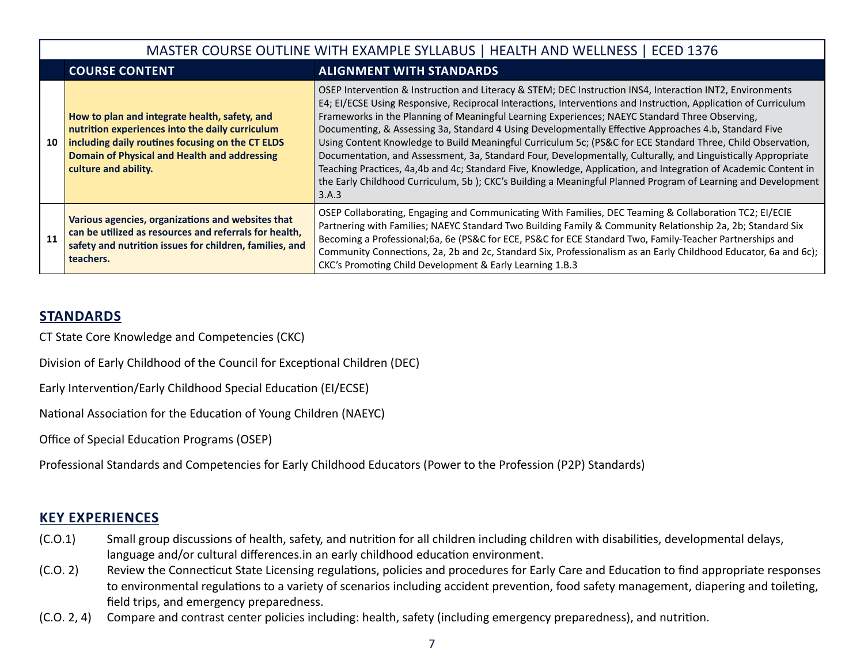|    | MASTER COURSE OUTLINE WITH EXAMPLE SYLLABUS   HEALTH AND WELLNESS   ECED 1376                                                                                                                                                |                                                                                                                                                                                                                                                                                                                                                                                                                                                                                                                                                                                                                                                                                                                                                                                                                                                                                                                     |  |  |
|----|------------------------------------------------------------------------------------------------------------------------------------------------------------------------------------------------------------------------------|---------------------------------------------------------------------------------------------------------------------------------------------------------------------------------------------------------------------------------------------------------------------------------------------------------------------------------------------------------------------------------------------------------------------------------------------------------------------------------------------------------------------------------------------------------------------------------------------------------------------------------------------------------------------------------------------------------------------------------------------------------------------------------------------------------------------------------------------------------------------------------------------------------------------|--|--|
|    | <b>COURSE CONTENT</b>                                                                                                                                                                                                        | <b>ALIGNMENT WITH STANDARDS</b>                                                                                                                                                                                                                                                                                                                                                                                                                                                                                                                                                                                                                                                                                                                                                                                                                                                                                     |  |  |
| 10 | How to plan and integrate health, safety, and<br>nutrition experiences into the daily curriculum<br>including daily routines focusing on the CT ELDS<br>Domain of Physical and Health and addressing<br>culture and ability. | OSEP Intervention & Instruction and Literacy & STEM; DEC Instruction INS4, Interaction INT2, Environments<br>E4; EI/ECSE Using Responsive, Reciprocal Interactions, Interventions and Instruction, Application of Curriculum<br>Frameworks in the Planning of Meaningful Learning Experiences; NAEYC Standard Three Observing,<br>Documenting, & Assessing 3a, Standard 4 Using Developmentally Effective Approaches 4.b, Standard Five<br>Using Content Knowledge to Build Meaningful Curriculum 5c; (PS&C for ECE Standard Three, Child Observation,<br>Documentation, and Assessment, 3a, Standard Four, Developmentally, Culturally, and Linguistically Appropriate<br>Teaching Practices, 4a,4b and 4c; Standard Five, Knowledge, Application, and Integration of Academic Content in<br>the Early Childhood Curriculum, 5b); CKC's Building a Meaningful Planned Program of Learning and Development<br>3.A.3 |  |  |
| 11 | Various agencies, organizations and websites that<br>can be utilized as resources and referrals for health,<br>safety and nutrition issues for children, families, and<br>teachers.                                          | OSEP Collaborating, Engaging and Communicating With Families, DEC Teaming & Collaboration TC2; EI/ECIE<br>Partnering with Families; NAEYC Standard Two Building Family & Community Relationship 2a, 2b; Standard Six<br>Becoming a Professional;6a, 6e (PS&C for ECE, PS&C for ECE Standard Two, Family-Teacher Partnerships and<br>Community Connections, 2a, 2b and 2c, Standard Six, Professionalism as an Early Childhood Educator, 6a and 6c);<br>CKC's Promoting Child Development & Early Learning 1.B.3                                                                                                                                                                                                                                                                                                                                                                                                     |  |  |

#### **STANDARDS**

CT State Core Knowledge and Competencies (CKC)

Division of Early Childhood of the Council for Exceptional Children (DEC)

Early Intervention/Early Childhood Special Education (EI/ECSE)

National Association for the Education of Young Children (NAEYC)

Office of Special Education Programs (OSEP)

Professional Standards and Competencies for Early Childhood Educators (Power to the Profession (P2P) Standards)

#### **KEY EXPERIENCES**

- (C.O.1) Small group discussions of health, safety, and nutrition for all children including children with disabilities, developmental delays, language and/or cultural differences.in an early childhood education environment.
- (C.O. 2) Review the Connecticut State Licensing regulations, policies and procedures for Early Care and Education to find appropriate responses to environmental regulations to a variety of scenarios including accident prevention, food safety management, diapering and toileting, field trips, and emergency preparedness.
- (C.O. 2, 4) Compare and contrast center policies including: health, safety (including emergency preparedness), and nutrition.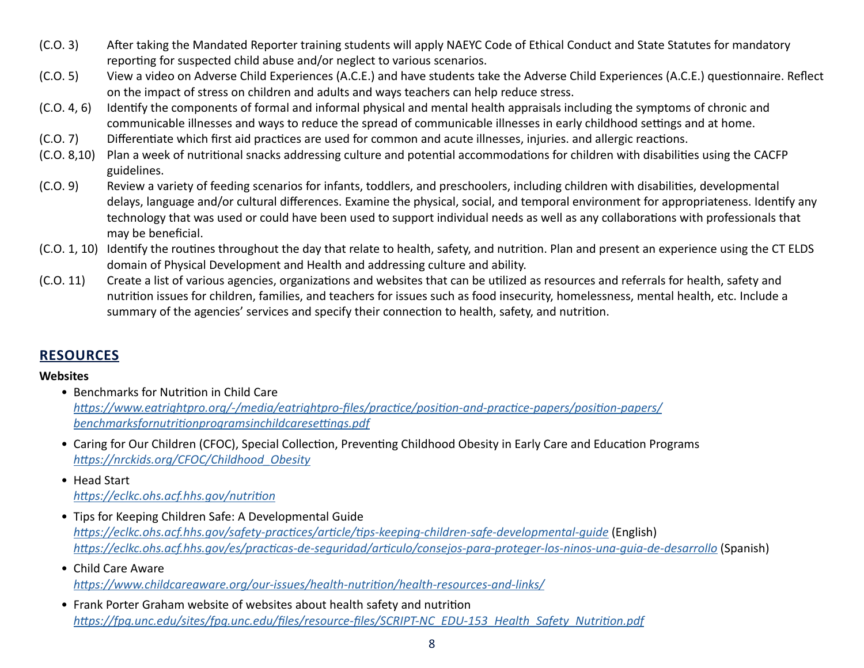- (C.O. 3) After taking the Mandated Reporter training students will apply NAEYC Code of Ethical Conduct and State Statutes for mandatory reporting for suspected child abuse and/or neglect to various scenarios.
- (C.O. 5) View a video on Adverse Child Experiences (A.C.E.) and have students take the Adverse Child Experiences (A.C.E.) questionnaire. Reflect on the impact of stress on children and adults and ways teachers can help reduce stress.
- (C.O. 4, 6) Identify the components of formal and informal physical and mental health appraisals including the symptoms of chronic and communicable illnesses and ways to reduce the spread of communicable illnesses in early childhood settings and at home.
- (C.O. 7) Differentiate which first aid practices are used for common and acute illnesses, injuries. and allergic reactions.
- (C.O. 8,10) Plan a week of nutritional snacks addressing culture and potential accommodations for children with disabilities using the CACFP guidelines.
- (C.O. 9) Review a variety of feeding scenarios for infants, toddlers, and preschoolers, including children with disabilities, developmental delays, language and/or cultural differences. Examine the physical, social, and temporal environment for appropriateness. Identify any technology that was used or could have been used to support individual needs as well as any collaborations with professionals that may be beneficial.
- (C.O. 1, 10) Identify the routines throughout the day that relate to health, safety, and nutrition. Plan and present an experience using the CT ELDS domain of Physical Development and Health and addressing culture and ability.
- (C.O. 11) Create a list of various agencies, organizations and websites that can be utilized as resources and referrals for health, safety and nutrition issues for children, families, and teachers for issues such as food insecurity, homelessness, mental health, etc. Include a summary of the agencies' services and specify their connection to health, safety, and nutrition.

#### **RESOURCES**

#### **Websites**

- Benchmarks for Nutrition in Child Care *[https://www.eatrightpro.org/-/media/eatrightpro-files/practice/position-and-practice-papers/position-papers/](https://nrckids.org/CFOC/Childhood_Obesity) [benchmarksfornutritionprogramsinchildcaresettings.pdf](https://nrckids.org/CFOC/Childhood_Obesity)*
- Caring for Our Children (CFOC), Special Collection, Preventing Childhood Obesity in Early Care and Education Programs *[https://nrckids.org/CFOC/Childhood\\_Obesity](https://nrckids.org/CFOC/Childhood_Obesity)*
- Head Start
	- *<https://eclkc.ohs.acf.hhs.gov/nutrition>*
- Tips for Keeping Children Safe: A Developmental Guide *<https://eclkc.ohs.acf.hhs.gov/safety-practices/article/tips-keeping-children-safe-developmental-guide>* (English) *<https://eclkc.ohs.acf.hhs.gov/es/practicas-de-seguridad/articulo/consejos-para-proteger-los-ninos-una-guia-de-desarrollo>* (Spanish)
- Child Care Aware *<https://www.childcareaware.org/our-issues/health-nutrition/health-resources-and-links/>*
- Frank Porter Graham website of websites about health safety and nutrition *[https://fpg.unc.edu/sites/fpg.unc.edu/files/resource-files/SCRIPT-NC\\_EDU-153\\_Health\\_Safety\\_Nutrition.pdf](https://childcare.extension.org/health-and-safety-in-child-care/)*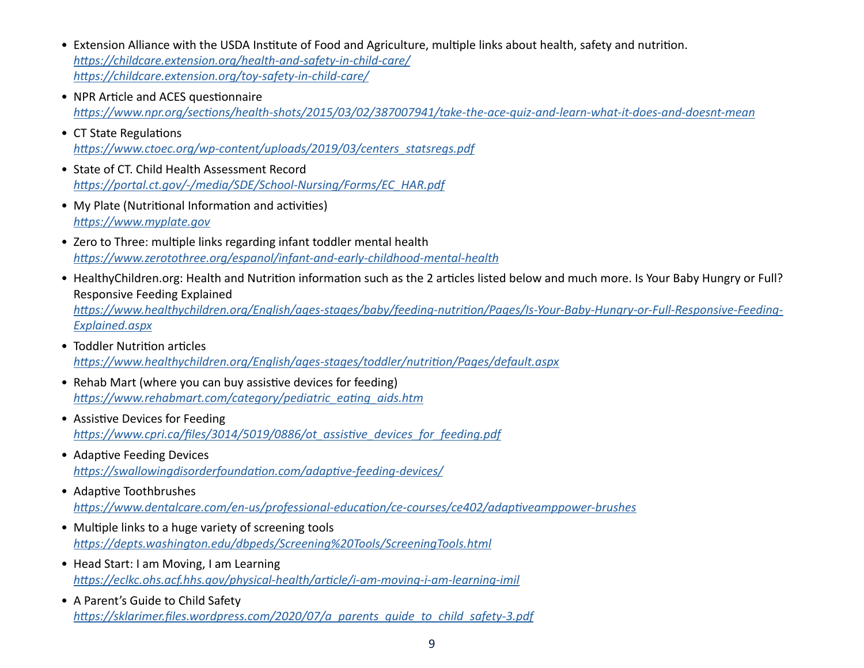- Extension Alliance with the USDA Institute of Food and Agriculture, multiple links about health, safety and nutrition. *<https://childcare.extension.org/health-and-safety-in-child-care/> [https://childcare.extension.org/toy-safety-in-child-care/](https://www.npr.org/sections/health-shots/2015/03/02/387007941/take-the-ace-quiz-and-learn-what-it-does-and-doesnt-mean)*
- NPR Article and ACES questionnaire *<https://www.npr.org/sections/health-shots/2015/03/02/387007941/take-the-ace-quiz-and-learn-what-it-does-and-doesnt-mean>*
- CT State Regulations *[https://www.ctoec.org/wp-content/uploads/2019/03/centers\\_statsregs.pdf](https://www.myplate.gov)*
- State of CT. Child Health Assessment Record *[https://portal.ct.gov/-/media/SDE/School-Nursing/Forms/EC\\_HAR.pdf](https://www.myplate.gov)*
- My Plate (Nutritional Information and activities) *<https://www.myplate.gov>*
- Zero to Three: multiple links regarding infant toddler mental health *<https://www.zerotothree.org/espanol/infant-and-early-childhood-mental-health>*
- HealthyChildren.org: Health and Nutrition information such as the 2 articles listed below and much more. Is Your Baby Hungry or Full? Responsive Feeding Explained

*[https://www.healthychildren.org/English/ages-stages/baby/feeding-nutrition/Pages/Is-Your-Baby-Hungry-or-Full-Responsive-Feeding-](https://www.healthychildren.org/English/ages-stages/baby/feeding-nutrition/Pages/Is-Your-Baby-Hungry-or-Full-Responsive-Feeding-Explained.aspx)[Explained.aspx](https://www.healthychildren.org/English/ages-stages/baby/feeding-nutrition/Pages/Is-Your-Baby-Hungry-or-Full-Responsive-Feeding-Explained.aspx)*

- Toddler Nutrition articles *<https://www.healthychildren.org/English/ages-stages/toddler/nutrition/Pages/default.aspx>*
- Rehab Mart (where you can buy assistive devices for feeding) *[https://www.rehabmart.com/category/pediatric\\_eating\\_aids.htm](https://www.rehabmart.com/category/pediatric_eating_aids.htm)*
- Assistive Devices for Feeding *[https://www.cpri.ca/files/3014/5019/0886/ot\\_assistive\\_devices\\_for\\_feeding.pdf](https://www.cpri.ca/files/3014/5019/0886/ot_assistive_devices_for_feeding.pdf)*
- Adaptive Feeding Devices *<https://swallowingdisorderfoundation.com/adaptive-feeding-devices/>*
- Adaptive Toothbrushes *<https://www.dentalcare.com/en-us/professional-education/ce-courses/ce402/adaptiveamppower-brushes>*
- Multiple links to a huge variety of screening tools *[https://depts.washington.edu/dbpeds/Screening%20Tools/ScreeningTools.html](https://eclkc.ohs.acf.hhs.gov/physical-health/article/i-am-moving-i-am-learning-imil)*
- Head Start: I am Moving, I am Learning *<https://eclkc.ohs.acf.hhs.gov/physical-health/article/i-am-moving-i-am-learning-imil>*
- A Parent's Guide to Child Safety *[https://sklarimer.files.wordpress.com/2020/07/a\\_parents\\_guide\\_to\\_child\\_safety-3.pdf](https://sklarimer.files.wordpress.com/2020/07/a_parents_guide_to_child_safety-3.pdf)*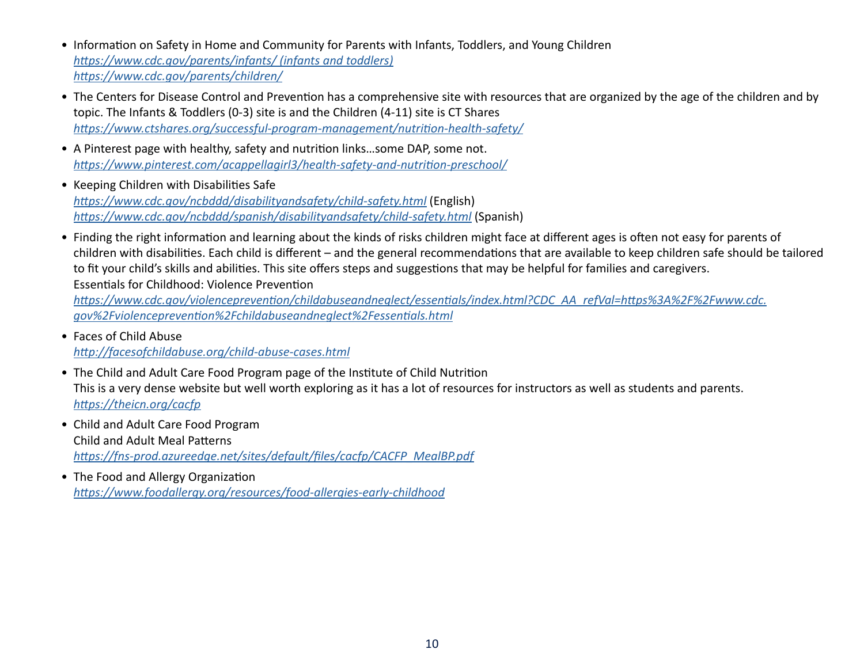- Information on Safety in Home and Community for Parents with Infants, Toddlers, and Young Children *[https://www.cdc.gov/parents/infants/ \(infants and toddlers\)](https://www.cdc.gov/parents/infants/) <https://www.cdc.gov/parents/children/>*
- The Centers for Disease Control and Prevention has a comprehensive site with resources that are organized by the age of the children and by topic. The Infants & Toddlers (0-3) site is and the Children (4-11) site is CT Shares *<https://www.ctshares.org/successful-program-management/nutrition-health-safety/>*
- A Pinterest page with healthy, safety and nutrition links…some DAP, some not. *<https://www.pinterest.com/acappellagirl3/health-safety-and-nutrition-preschool/>*
- Keeping Children with Disabilities Safe *<https://www.cdc.gov/ncbddd/disabilityandsafety/child-safety.html>* (English) *<https://www.cdc.gov/ncbddd/spanish/disabilityandsafety/child-safety.html>* (Spanish)
- Finding the right information and learning about the kinds of risks children might face at different ages is often not easy for parents of children with disabilities. Each child is different – and the general recommendations that are available to keep children safe should be tailored to fit your child's skills and abilities. This site offers steps and suggestions that may be helpful for families and caregivers. Essentials for Childhood: Violence Prevention

*[https://www.cdc.gov/violenceprevention/childabuseandneglect/essentials/index.html?CDC\\_AA\\_refVal=https%3A%2F%2Fwww.cdc.](https://www.cdc.gov/violenceprevention/childabuseandneglect/essentials/index.html?CDC_AA_refVal=https%3A%2F%2Fwww.cdc.gov%2Fviolenceprevention%2Fchildabuseandneglect%2Fessentials.html) [gov%2Fviolenceprevention%2Fchildabuseandneglect%2Fessentials.html](https://www.cdc.gov/violenceprevention/childabuseandneglect/essentials/index.html?CDC_AA_refVal=https%3A%2F%2Fwww.cdc.gov%2Fviolenceprevention%2Fchildabuseandneglect%2Fessentials.html)*

- Faces of Child Abuse *<http://facesofchildabuse.org/child-abuse-cases.html>*
- The Child and Adult Care Food Program page of the Institute of Child Nutrition This is a very dense website but well worth exploring as it has a lot of resources for instructors as well as students and parents. *<https://theicn.org/cacfp>*
- Child and Adult Care Food Program Child and Adult Meal Patterns *[https://fns-prod.azureedge.net/sites/default/files/cacfp/CACFP\\_MealBP.pdf](https://fns-prod.azureedge.net/sites/default/files/cacfp/CACFP_MealBP.pdf)*
- The Food and Allergy Organization *<https://www.foodallergy.org/resources/food-allergies-early-childhood>*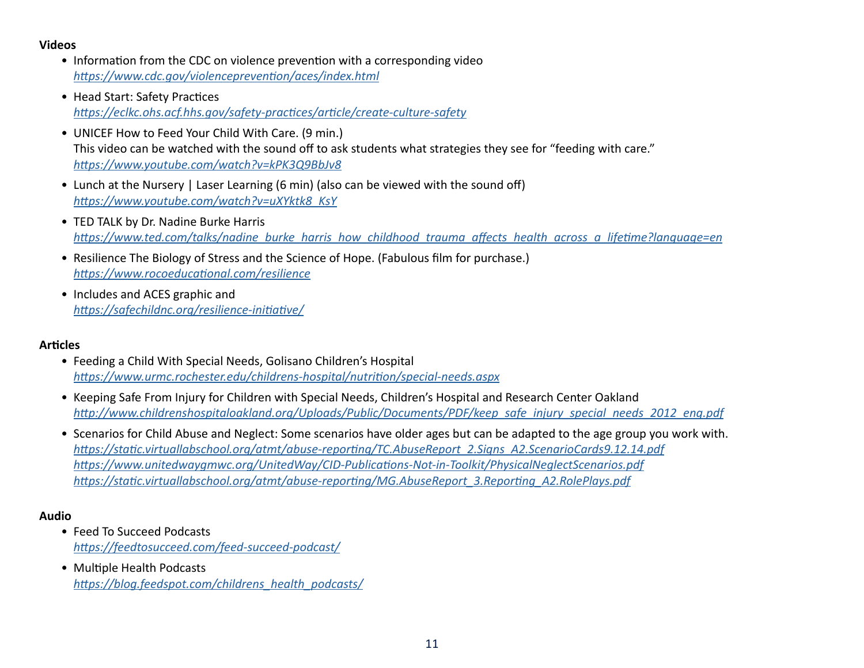#### **Videos**

- Information from the CDC on violence prevention with a corresponding video *<https://www.cdc.gov/violenceprevention/aces/index.html>*
- Head Start: Safety Practices *<https://eclkc.ohs.acf.hhs.gov/safety-practices/article/create-culture-safety>*
- UNICEF How to Feed Your Child With Care. (9 min.) This video can be watched with the sound off to ask students what strategies they see for "feeding with care." *<https://www.youtube.com/watch?v=kPK3Q9BbJv8>*
- Lunch at the Nursery | Laser Learning (6 min) (also can be viewed with the sound off) *[https://www.youtube.com/watch?v=uXYktk8\\_KsY](https://www.youtube.com/watch?v=uXYktk8_KsY)*
- TED TALK by Dr. Nadine Burke Harris *[https://www.ted.com/talks/nadine\\_burke\\_harris\\_how\\_childhood\\_trauma\\_affects\\_health\\_across\\_a\\_lifetime?language=en](https://www.ted.com/talks/nadine_burke_harris_how_childhood_trauma_affects_health_across_a_lifetime?language=en)*
- Resilience The Biology of Stress and the Science of Hope. (Fabulous film for purchase.) *<https://www.rocoeducational.com/resilience>*
- Includes and ACES graphic and *<https://safechildnc.org/resilience-initiative/>*

#### **Articles**

- Feeding a Child With Special Needs, Golisano Children's Hospital *<https://www.urmc.rochester.edu/childrens-hospital/nutrition/special-needs.aspx>*
- Keeping Safe From Injury for Children with Special Needs, Children's Hospital and Research Center Oakland *[http://www.childrenshospitaloakland.org/Uploads/Public/Documents/PDF/keep\\_safe\\_injury\\_special\\_needs\\_2012\\_eng.pdf](http://www.childrenshospitaloakland.org/Uploads/Public/Documents/PDF/keep_safe_injury_special_needs_2012_eng.pdf)*
- Scenarios for Child Abuse and Neglect: Some scenarios have older ages but can be adapted to the age group you work with. *[https://static.virtuallabschool.org/atmt/abuse-reporting/TC.AbuseReport\\_2.Signs\\_A2.ScenarioCards9.12.14.pdf](https://static.virtuallabschool.org/atmt/abuse-reporting/TC.AbuseReport_2.Signs_A2.ScenarioCards9.12.14.pdf) <https://www.unitedwaygmwc.org/UnitedWay/CID-Publications-Not-in-Toolkit/PhysicalNeglectScenarios.pdf> [https://static.virtuallabschool.org/atmt/abuse-reporting/MG.AbuseReport\\_3.Reporting\\_A2.RolePlays.pdf](https://static.virtuallabschool.org/atmt/abuse-reporting/MG.AbuseReport_3.Reporting_A2.RolePlays.pdf)*

#### **Audio**

- Feed To Succeed Podcasts *<https://feedtosucceed.com/feed-succeed-podcast/>*
- Multiple Health Podcasts *[https://blog.feedspot.com/childrens\\_health\\_podcasts/](https://feedtosucceed.com/feed-succeed-podcast/)*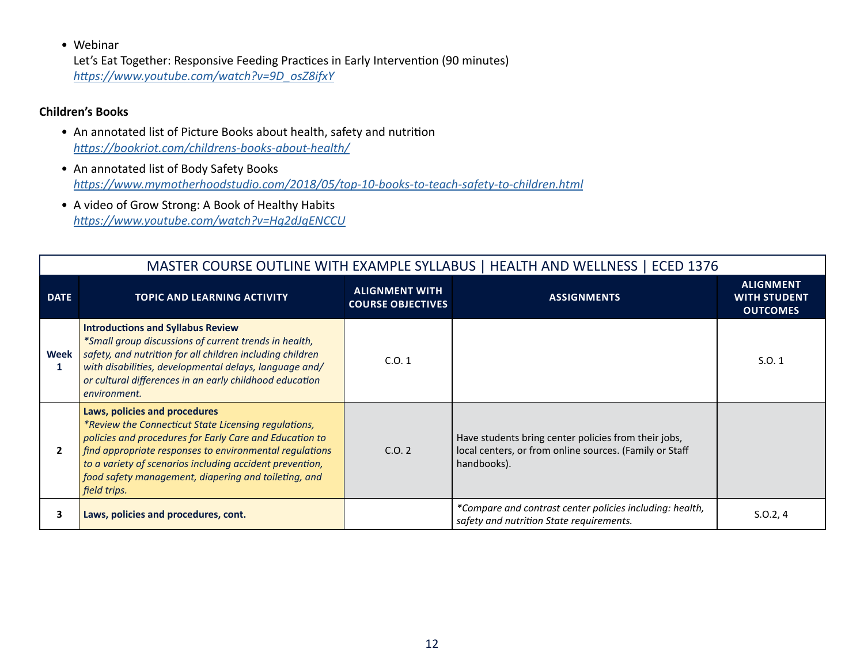• Webinar

Let's Eat Together: Responsive Feeding Practices in Early Intervention (90 minutes) *[https://www.youtube.com/watch?v=9D\\_osZ8ifxY](https://www.youtube.com/watch?v=9D_osZ8ifxY)*

#### **Children's Books**

- An annotated list of Picture Books about health, safety and nutrition *<https://bookriot.com/childrens-books-about-health/>*
- An annotated list of Body Safety Books *<https://www.mymotherhoodstudio.com/2018/05/top-10-books-to-teach-safety-to-children.html>*
- A video of Grow Strong: A Book of Healthy Habits *<https://www.youtube.com/watch?v=Hg2dJqENCCU>*

|              | MASTER COURSE OUTLINE WITH EXAMPLE SYLLABUS   HEALTH AND WELLNESS   ECED 1376                                                                                                                                                                                                                                                                   |                                                   |                                                                                                                                |                                                            |  |  |
|--------------|-------------------------------------------------------------------------------------------------------------------------------------------------------------------------------------------------------------------------------------------------------------------------------------------------------------------------------------------------|---------------------------------------------------|--------------------------------------------------------------------------------------------------------------------------------|------------------------------------------------------------|--|--|
| <b>DATE</b>  | <b>TOPIC AND LEARNING ACTIVITY</b>                                                                                                                                                                                                                                                                                                              | <b>ALIGNMENT WITH</b><br><b>COURSE OBJECTIVES</b> | <b>ASSIGNMENTS</b>                                                                                                             | <b>ALIGNMENT</b><br><b>WITH STUDENT</b><br><b>OUTCOMES</b> |  |  |
| Week<br>1    | <b>Introductions and Syllabus Review</b><br>*Small group discussions of current trends in health,<br>safety, and nutrition for all children including children<br>with disabilities, developmental delays, language and/<br>or cultural differences in an early childhood education<br>environment.                                             | C.0.1                                             |                                                                                                                                | S.0.1                                                      |  |  |
| $\mathbf{2}$ | Laws, policies and procedures<br>*Review the Connecticut State Licensing regulations,<br>policies and procedures for Early Care and Education to<br>find appropriate responses to environmental regulations<br>to a variety of scenarios including accident prevention,<br>food safety management, diapering and toileting, and<br>field trips. | C.0.2                                             | Have students bring center policies from their jobs,<br>local centers, or from online sources. (Family or Staff<br>handbooks). |                                                            |  |  |
| 3            | Laws, policies and procedures, cont.                                                                                                                                                                                                                                                                                                            |                                                   | *Compare and contrast center policies including: health,<br>safety and nutrition State requirements.                           | S.0.2, 4                                                   |  |  |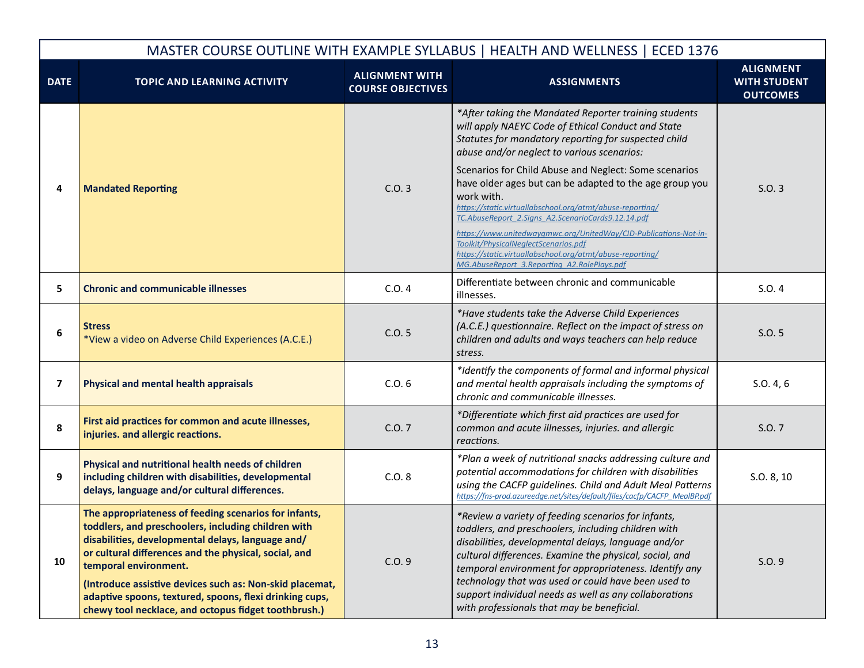| MASTER COURSE OUTLINE WITH EXAMPLE SYLLABUS   HEALTH AND WELLNESS   ECED 1376 |                                                                                                                                                                                                                                                                                                                                                                                                                                    |                                                   |                                                                                                                                                                                                                                                                                                                                                                                                                                                       |                                                            |  |
|-------------------------------------------------------------------------------|------------------------------------------------------------------------------------------------------------------------------------------------------------------------------------------------------------------------------------------------------------------------------------------------------------------------------------------------------------------------------------------------------------------------------------|---------------------------------------------------|-------------------------------------------------------------------------------------------------------------------------------------------------------------------------------------------------------------------------------------------------------------------------------------------------------------------------------------------------------------------------------------------------------------------------------------------------------|------------------------------------------------------------|--|
| <b>DATE</b>                                                                   | <b>TOPIC AND LEARNING ACTIVITY</b>                                                                                                                                                                                                                                                                                                                                                                                                 | <b>ALIGNMENT WITH</b><br><b>COURSE OBJECTIVES</b> | <b>ASSIGNMENTS</b>                                                                                                                                                                                                                                                                                                                                                                                                                                    | <b>ALIGNMENT</b><br><b>WITH STUDENT</b><br><b>OUTCOMES</b> |  |
|                                                                               |                                                                                                                                                                                                                                                                                                                                                                                                                                    |                                                   | *After taking the Mandated Reporter training students<br>will apply NAEYC Code of Ethical Conduct and State<br>Statutes for mandatory reporting for suspected child<br>abuse and/or neglect to various scenarios:                                                                                                                                                                                                                                     |                                                            |  |
| 4                                                                             | <b>Mandated Reporting</b>                                                                                                                                                                                                                                                                                                                                                                                                          | C.0.3                                             | Scenarios for Child Abuse and Neglect: Some scenarios<br>have older ages but can be adapted to the age group you<br>work with.<br>https://static.virtuallabschool.org/atmt/abuse-reporting/<br>TC.AbuseReport 2.Signs A2.ScenarioCards9.12.14.pdf                                                                                                                                                                                                     | S.O.3                                                      |  |
|                                                                               |                                                                                                                                                                                                                                                                                                                                                                                                                                    |                                                   | https://www.unitedwaygmwc.org/UnitedWay/CID-Publications-Not-in-<br>Toolkit/PhysicalNeglectScenarios.pdf<br>https://static.virtuallabschool.org/atmt/abuse-reporting/<br>MG.AbuseReport 3.Reporting A2.RolePlays.pdf                                                                                                                                                                                                                                  |                                                            |  |
| 5                                                                             | <b>Chronic and communicable illnesses</b>                                                                                                                                                                                                                                                                                                                                                                                          | C.O.4                                             | Differentiate between chronic and communicable<br>illnesses.                                                                                                                                                                                                                                                                                                                                                                                          | S.O.4                                                      |  |
| 6                                                                             | <b>Stress</b><br>*View a video on Adverse Child Experiences (A.C.E.)                                                                                                                                                                                                                                                                                                                                                               | C.0.5                                             | *Have students take the Adverse Child Experiences<br>(A.C.E.) questionnaire. Reflect on the impact of stress on<br>children and adults and ways teachers can help reduce<br>stress.                                                                                                                                                                                                                                                                   | S.0.5                                                      |  |
| 7                                                                             | <b>Physical and mental health appraisals</b>                                                                                                                                                                                                                                                                                                                                                                                       | C.0.6                                             | *Identify the components of formal and informal physical<br>and mental health appraisals including the symptoms of<br>chronic and communicable illnesses.                                                                                                                                                                                                                                                                                             | S.0.4, 6                                                   |  |
| 8                                                                             | First aid practices for common and acute illnesses,<br>injuries. and allergic reactions.                                                                                                                                                                                                                                                                                                                                           | C.0.7                                             | *Differentiate which first aid practices are used for<br>common and acute illnesses, injuries. and allergic<br>reactions.                                                                                                                                                                                                                                                                                                                             | S.O. 7                                                     |  |
| 9                                                                             | Physical and nutritional health needs of children<br>including children with disabilities, developmental<br>delays, language and/or cultural differences.                                                                                                                                                                                                                                                                          | C.0.8                                             | *Plan a week of nutritional snacks addressing culture and<br>potential accommodations for children with disabilities<br>using the CACFP guidelines. Child and Adult Meal Patterns<br>https://fns-prod.azureedge.net/sites/default/files/cacfp/CACFP MealBP.pdf                                                                                                                                                                                        | S.O. 8, 10                                                 |  |
| 10                                                                            | The appropriateness of feeding scenarios for infants,<br>toddlers, and preschoolers, including children with<br>disabilities, developmental delays, language and/<br>or cultural differences and the physical, social, and<br>temporal environment.<br>(Introduce assistive devices such as: Non-skid placemat,<br>adaptive spoons, textured, spoons, flexi drinking cups,<br>chewy tool necklace, and octopus fidget toothbrush.) | C.0.9                                             | *Review a variety of feeding scenarios for infants,<br>toddlers, and preschoolers, including children with<br>disabilities, developmental delays, language and/or<br>cultural differences. Examine the physical, social, and<br>temporal environment for appropriateness. Identify any<br>technology that was used or could have been used to<br>support individual needs as well as any collaborations<br>with professionals that may be beneficial. | S.0.9                                                      |  |